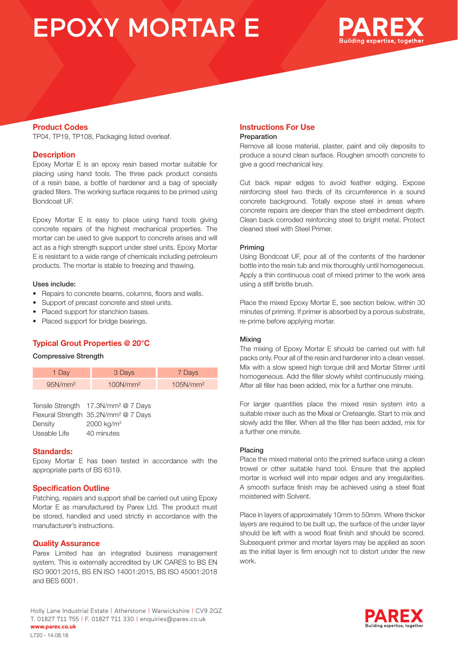# EPOXY MORTAR E



## **Product Codes**

TP04, TP19, TP108, Packaging listed overleaf.

## **Description**

Epoxy Mortar E is an epoxy resin based mortar suitable for placing using hand tools. The three pack product consists of a resin base, a bottle of hardener and a bag of specially graded fillers. The working surface requires to be primed using Bondcoat UF.

Epoxy Mortar E is easy to place using hand tools giving concrete repairs of the highest mechanical properties. The mortar can be used to give support to concrete arises and will act as a high strength support under steel units. Epoxy Mortar E is resistant to a wide range of chemicals including petroleum products. The mortar is stable to freezing and thawing.

#### Uses include:

- Repairs to concrete beams, columns, floors and walls.
- Support of precast concrete and steel units.
- Placed support for stanchion bases.
- Placed support for bridge bearings.

## **Typical Grout Properties @ 20°C**

#### Compressive Strength

| 1 Day               | 3 Days               | 7 Days               |
|---------------------|----------------------|----------------------|
| 95N/mm <sup>2</sup> | 100N/mm <sup>2</sup> | 105N/mm <sup>2</sup> |
|                     |                      |                      |

|              | Tensile Strength 17.3N/mm <sup>2</sup> @ 7 Days  |
|--------------|--------------------------------------------------|
|              | Flexural Strength 35.2N/mm <sup>2</sup> @ 7 Days |
| Density      | $2000 \text{ ka/m}^3$                            |
| Useable Life | 40 minutes                                       |

## **Standards:**

Epoxy Mortar E has been tested in accordance with the appropriate parts of BS 6319.

## **Specification Outline**

Patching, repairs and support shall be carried out using Epoxy Mortar E as manufactured by Parex Ltd. The product must be stored, handled and used strictly in accordance with the manufacturer's instructions.

#### **Quality Assurance**

Parex Limited has an integrated business management system. This is externally accredited by UK CARES to BS EN ISO 9001:2015, BS EN ISO 14001:2015, BS ISO 45001:2018 and BES 6001.

## Holly Lane Industrial Estate | Atherstone | Warwickshire | CV9 2QZ T. 01827 711 755 | F. 01827 711 330 | enquiries@parex.co.uk **www.parex.co.uk** L720 - 14.08.18

#### **Instructions For Use** Preparation

Remove all loose material, plaster, paint and oily deposits to produce a sound clean surface. Roughen smooth concrete to give a good mechanical key.

Cut back repair edges to avoid feather edging. Expose reinforcing steel two thirds of its circumference in a sound concrete background. Totally expose steel in areas where concrete repairs are deeper than the steel embedment depth. Clean back corroded reinforcing steel to bright metal. Protect cleaned steel with Steel Primer.

#### Priming

Using Bondcoat UF, pour all of the contents of the hardener bottle into the resin tub and mix thoroughly until homogeneous. Apply a thin continuous coat of mixed primer to the work area using a stiff bristle brush.

Place the mixed Epoxy Mortar E, see section below, within 30 minutes of priming. If primer is absorbed by a porous substrate, re-prime before applying mortar.

#### Mixing

The mixing of Epoxy Mortar E should be carried out with full packs only. Pour all of the resin and hardener into a clean vessel. Mix with a slow speed high torque drill and Mortar Stirrer until homogeneous. Add the filler slowly whilst continuously mixing. After all filler has been added, mix for a further one minute.

For larger quantities place the mixed resin system into a suitable mixer such as the Mixal or Creteangle. Start to mix and slowly add the filler. When all the filler has been added, mix for a further one minute.

#### Placing

Place the mixed material onto the primed surface using a clean trowel or other suitable hand tool. Ensure that the applied mortar is worked well into repair edges and any irregularities. A smooth surface finish may be achieved using a steel float moistened with Solvent.

Place in layers of approximately 10mm to 50mm. Where thicker layers are required to be built up, the surface of the under layer should be left with a wood float finish and should be scored. Subsequent primer and mortar layers may be applied as soon as the initial layer is firm enough not to distort under the new work.